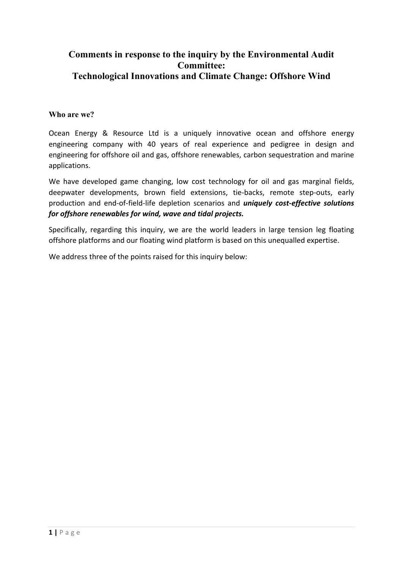## **Comments in response to the inquiry by the Environmental Audit Committee: Technological Innovations and Climate Change: Offshore Wind**

## **Who are we?**

Ocean Energy & Resource Ltd is a uniquely innovative ocean and offshore energy engineering company with 40 years of real experience and pedigree in design and engineering for offshore oil and gas, offshore renewables, carbon sequestration and marine applications.

We have developed game changing, low cost technology for oil and gas marginal fields, deepwater developments, brown field extensions, tie-backs, remote step-outs, early production and end-of-field-life depletion scenarios and *uniquely cost-effective solutions for offshore renewables for wind, wave and tidal projects.*

Specifically, regarding this inquiry, we are the world leaders in large tension leg floating offshore platforms and our floating wind platform is based on this unequalled expertise.

We address three of the points raised for this inquiry below: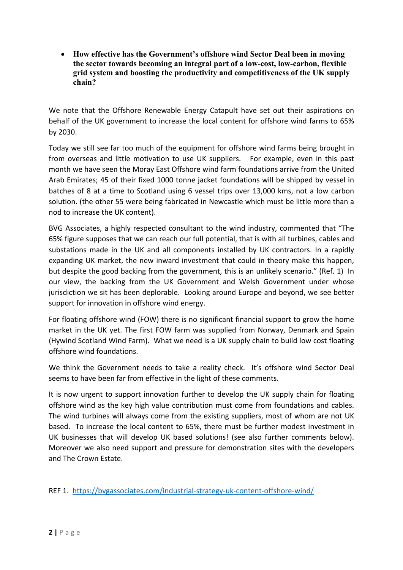**How effective has the Government's offshore wind Sector Deal been in moving the sector towards becoming an integral part of a low-cost, low-carbon, flexible grid system and boosting the productivity and competitiveness of the UK supply chain?**

We note that the Offshore Renewable Energy Catapult have set out their aspirations on behalf of the UK government to increase the local content for offshore wind farms to 65% by 2030.

Today we still see far too much of the equipment for offshore wind farms being brought in from overseas and little motivation to use UK suppliers. For example, even in this past month we have seen the Moray East Offshore wind farm foundations arrive from the United Arab Emirates; 45 of their fixed 1000 tonne jacket foundations will be shipped by vessel in batches of 8 at a time to Scotland using 6 vessel trips over 13,000 kms, not a low carbon solution. (the other 55 were being fabricated in Newcastle which must be little more than a nod to increase the UK content).

BVG Associates, a highly respected consultant to the wind industry, commented that "The 65% figure supposes that we can reach our full potential, that is with all turbines, cables and substations made in the UK and all components installed by UK contractors. In a rapidly expanding UK market, the new inward investment that could in theory make this happen, but despite the good backing from the government, this is an unlikely scenario." (Ref. 1) In our view, the backing from the UK Government and Welsh Government under whose jurisdiction we sit has been deplorable. Looking around Europe and beyond, we see better support for innovation in offshore wind energy.

For floating offshore wind (FOW) there is no significant financial support to grow the home market in the UK yet. The first FOW farm was supplied from Norway, Denmark and Spain (Hywind Scotland Wind Farm). What we need is a UK supply chain to build low cost floating offshore wind foundations.

We think the Government needs to take a reality check. It's offshore wind Sector Deal seems to have been far from effective in the light of these comments.

It is now urgent to support innovation further to develop the UK supply chain for floating offshore wind as the key high value contribution must come from foundations and cables. The wind turbines will always come from the existing suppliers, most of whom are not UK based. To increase the local content to 65%, there must be further modest investment in UK businesses that will develop UK based solutions! (see also further comments below). Moreover we also need support and pressure for demonstration sites with the developers and The Crown Estate.

REF 1. <https://bvgassociates.com/industrial-strategy-uk-content-offshore-wind/>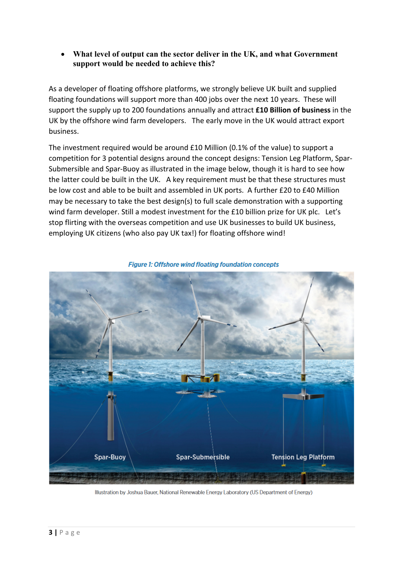**What level of output can the sector deliver in the UK, and what Government support would be needed to achieve this?**

As a developer of floating offshore platforms, we strongly believe UK built and supplied floating foundations will support more than 400 jobs over the next 10 years. These will support the supply up to 200 foundations annually and attract **£10 Billion of business** in the UK by the offshore wind farm developers. The early move in the UK would attract export business.

The investment required would be around £10 Million (0.1% of the value) to support a competition for 3 potential designs around the concept designs: Tension Leg Platform, Spar-Submersible and Spar-Buoy as illustrated in the image below, though it is hard to see how the latter could be built in the UK. A key requirement must be that these structures must be low cost and able to be built and assembled in UK ports. A further £20 to £40 Million may be necessary to take the best design(s) to full scale demonstration with a supporting wind farm developer. Still a modest investment for the £10 billion prize for UK plc. Let's stop flirting with the overseas competition and use UK businesses to build UK business, employing UK citizens (who also pay UK tax!) for floating offshore wind!



**Figure 1: Offshore wind floating foundation concepts** 

Illustration by Joshua Bauer, National Renewable Energy Laboratory (US Department of Energy)